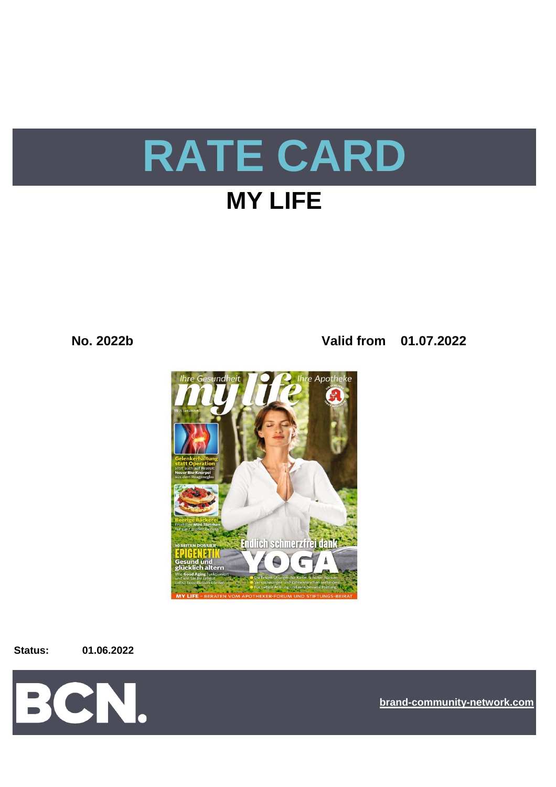

**No. 2022b Valid from 01.07.2022**



**Status: 01.06.2022**



**[bra](https://bcn.burda.com/)nd-community-network.com**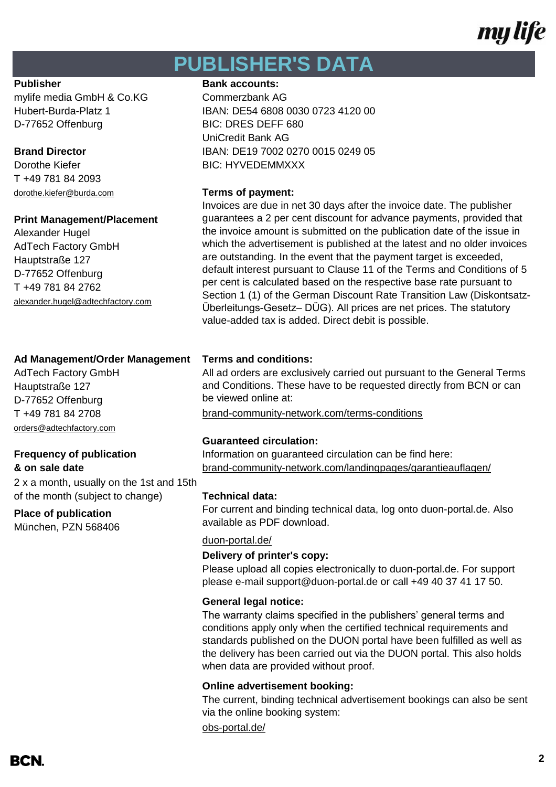# my life

## **PUBLISHER'S DATA**

mylife media GmbH & Co.KG Commerzbank AG D-77652 Offenburg BIC: DRES DEFF 680

T +49 781 84 2093

### **Print Management/Placement**

Alexander Hugel AdTech Factory GmbH Hauptstraße 127 D-77652 Offenburg T +49 781 84 2762 alexander.hugel@adtechfactory.com

### **Ad Management/Order Management Terms and conditions:**

AdTech Factory GmbH Hauptstraße 127 D-77652 Offenburg [orders@adtechfactory.com](mailto:orders@adtechfactory.com)

2 x a month, usually on the 1st and 15th of the month (subject to change) **Technical data:**

### **Place of publication**

München, PZN 568406

### **Publisher Bank accounts:**

Hubert-Burda-Platz 1 IBAN: DE54 6808 0030 0723 4120 00 UniCredit Bank AG **Brand Director** IBAN: DE19 7002 0270 0015 0249 05 Dorothe Kiefer **BIC: HYVEDEMMXXX** 

### dorothe.kiefer@burda.com **Terms of payment:**

Invoices are due in net 30 days after the invoice date. The publisher guarantees a 2 per cent discount for advance payments, provided that the invoice amount is submitted on the publication date of the issue in which the advertisement is published at the latest and no older invoices are outstanding. In the event that the payment target is exceeded, default interest pursuant to Clause 11 of the Terms and Conditions of 5 per cent is calculated based on the respective base rate pursuant to Section 1 (1) of the German Discount Rate Transition Law (Diskontsatz-Überleitungs-Gesetz– DÜG). All prices are net prices. The statutory value-added tax is added. Direct debit is possible.

All ad orders are exclusively carried out pursuant to the General Terms and Conditions. These have to be requested directly from BCN or can be viewed online at:

T +49 781 84 2708 [brand-community-network.com/terms-conditions](https://bcn.burda.com/terms-conditions)

### **Guaranteed circulation:**

**Frequency of publication Information on guaranteed circulation can be find here: & on sale date** [brand-community-network.com/landingpages/garantieauflagen/](https://bcn.burda.com/garantieauflagen)

For current and binding technical data, log onto duon-portal.de. Also available as PDF download.

### [duon-portal.de/](https://duon-portal.de/)

### **Delivery of printer's copy:**

Please upload all copies electronically to duon-portal.de. For support please e-mail support@duon-portal.de or call +49 40 37 41 17 50.

### **General legal notice:**

The warranty claims specified in the publishers' general terms and conditions apply only when the certified technical requirements and standards published on the DUON portal have been fulfilled as well as the delivery has been carried out via the DUON portal. This also holds when data are provided without proof.

### **Online advertisement booking:**

[obs-portal.de/](https://www.obs-portal.de/) The current, binding technical advertisement bookings can also be sent via the online booking system: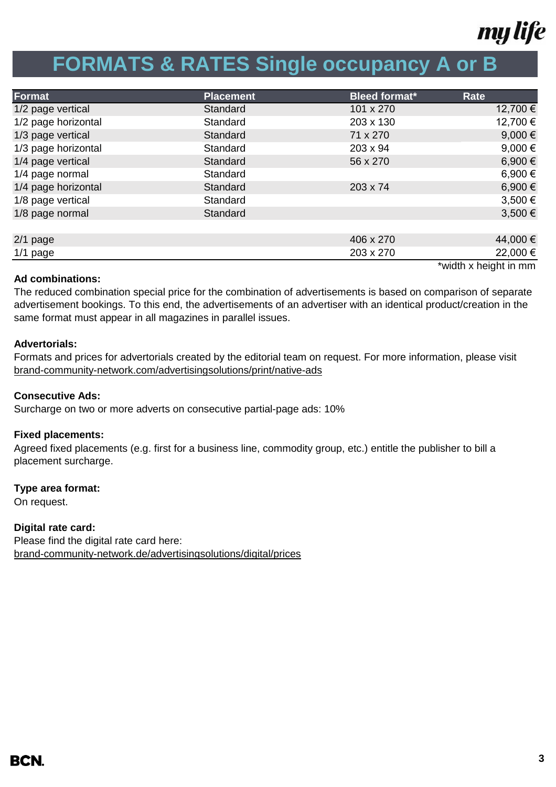

## **FORMATS & RATES Single occupancy A or B**

| Format              | <b>Placement</b> | <b>Bleed format*</b> | Rate                  |
|---------------------|------------------|----------------------|-----------------------|
| 1/2 page vertical   | Standard         | 101 x 270            | 12,700 €              |
| 1/2 page horizontal | Standard         | 203 x 130            | 12,700 €              |
| 1/3 page vertical   | Standard         | 71 x 270             | 9,000 $\epsilon$      |
| 1/3 page horizontal | Standard         | 203 x 94             | 9,000 $\in$           |
| 1/4 page vertical   | Standard         | 56 x 270             | 6,900€                |
| 1/4 page normal     | Standard         |                      | 6,900 €               |
| 1/4 page horizontal | Standard         | 203 x 74             | 6,900€                |
| 1/8 page vertical   | Standard         |                      | 3,500 €               |
| 1/8 page normal     | Standard         |                      | 3,500 €               |
|                     |                  |                      |                       |
| $2/1$ page          |                  | 406 x 270            | 44,000 €              |
| $1/1$ page          |                  | 203 x 270            | 22,000 €              |
|                     |                  |                      | *width x height in mm |

### **Ad combinations:**

The reduced combination special price for the combination of advertisements is based on comparison of separate advertisement bookings. To this end, the advertisements of an advertiser with an identical product/creation in the same format must appear in all magazines in parallel issues.

### **Advertorials:**

Formats and prices for advertorials created by the editorial team on request. For more information, please visit [brand-community-network.com/advertisin](https://bcn.burda.com/advertisingsolutions/print/native-ads)gsolutions/print/native-ads

### **Consecutive Ads:**

Surcharge on two or more adverts on consecutive partial-page ads: 10%

### **Fixed placements:**

Agreed fixed placements (e.g. first for a business line, commodity group, etc.) entitle the publisher to bill a placement surcharge.

### **Type area format:**

On request.

**Digital rate card:** Please find the digital rate card here: [brand-community-network.de/advertisingsolutions/digital/prices](https://bcn.burda.com/advertisingsolutions/digital/prices)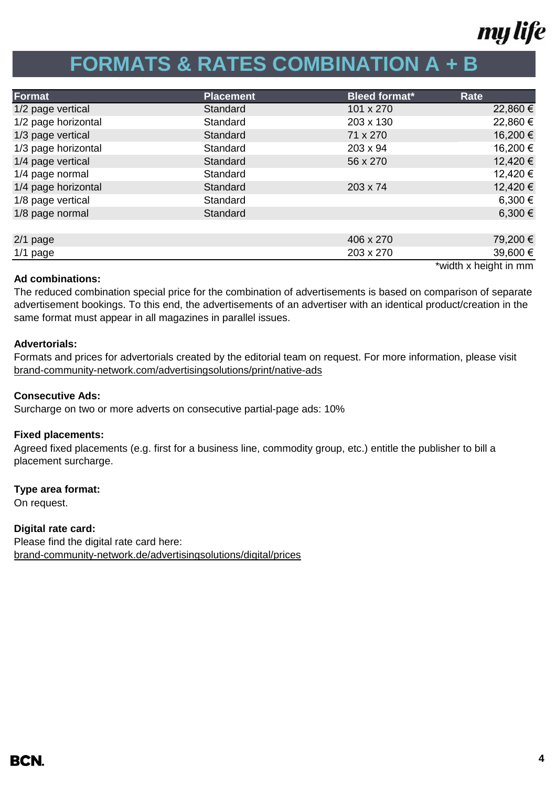

# **FORMATS & RATES COMBINATION A + B**

| Format              | <b>Placement</b> | <b>Bleed format*</b> | Rate                  |
|---------------------|------------------|----------------------|-----------------------|
| 1/2 page vertical   | Standard         | 101 x 270            | 22,860 €              |
| 1/2 page horizontal | Standard         | 203 x 130            | 22,860 €              |
| 1/3 page vertical   | Standard         | 71 x 270             | 16,200 €              |
| 1/3 page horizontal | Standard         | 203 x 94             | 16,200 €              |
| 1/4 page vertical   | Standard         | 56 x 270             | 12,420 €              |
| 1/4 page normal     | Standard         |                      | 12,420 €              |
| 1/4 page horizontal | Standard         | 203 x 74             | 12,420 €              |
| 1/8 page vertical   | Standard         |                      | 6,300 €               |
| 1/8 page normal     | Standard         |                      | 6,300 €               |
|                     |                  |                      |                       |
| $2/1$ page          |                  | 406 x 270            | 79,200 €              |
| $1/1$ page          |                  | 203 x 270            | 39,600 €              |
|                     |                  |                      | *width x height in mm |

### **Ad combinations:**

The reduced combination special price for the combination of advertisements is based on comparison of separate advertisement bookings. To this end, the advertisements of an advertiser with an identical product/creation in the same format must appear in all magazines in parallel issues.

### **Advertorials:**

[brand-community-network.com/advertisin](https://bcn.burda.com/advertisingsolutions/print/native-ads)gsolutions/print/native-ads Formats and prices for advertorials created by the editorial team on request. For more information, please visit

### **Consecutive Ads:**

Surcharge on two or more adverts on consecutive partial-page ads: 10%

### **Fixed placements:**

Agreed fixed placements (e.g. first for a business line, commodity group, etc.) entitle the publisher to bill a placement surcharge.

### **Type area format:**

On request.

### **Digital rate card:**

Please find the digital rate card here: [brand-community-network.de/advertisingsolutions/digital/prices](https://bcn.burda.com/advertisingsolutions/digital/prices)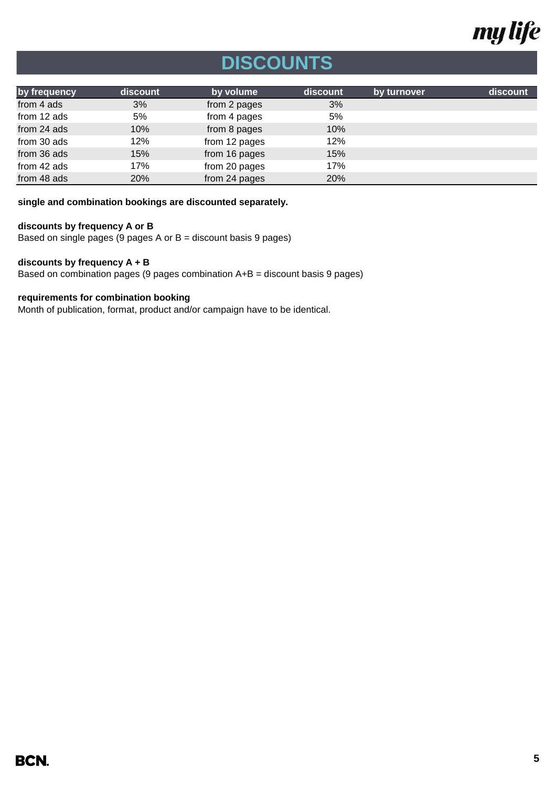

# **DISCOUNTS**

| by frequency | discount | by volume     | discount | by turnover | discount |
|--------------|----------|---------------|----------|-------------|----------|
| from 4 ads   | 3%       | from 2 pages  | 3%       |             |          |
| from 12 ads  | 5%       | from 4 pages  | 5%       |             |          |
| from 24 ads  | 10%      | from 8 pages  | 10%      |             |          |
| from 30 ads  | 12%      | from 12 pages | 12%      |             |          |
| from 36 ads  | 15%      | from 16 pages | 15%      |             |          |
| from 42 ads  | 17%      | from 20 pages | 17%      |             |          |
| from 48 ads  | 20%      | from 24 pages | 20%      |             |          |

**single and combination bookings are discounted separately.**

### **discounts by frequency A or B**

Based on single pages (9 pages A or B = discount basis 9 pages)

### **discounts by frequency A + B**

Based on combination pages (9 pages combination A+B = discount basis 9 pages)

### **requirements for combination booking**

Month of publication, format, product and/or campaign have to be identical.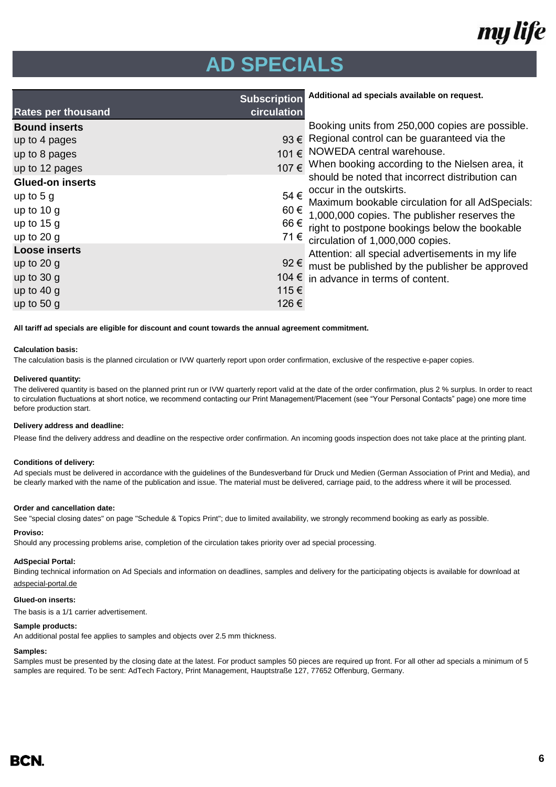

## **AD SPECIALS**

|                           | <b>Subscription</b> | Additional ad specials available on request.                                |
|---------------------------|---------------------|-----------------------------------------------------------------------------|
| <b>Rates per thousand</b> | circulation         |                                                                             |
| <b>Bound inserts</b>      |                     | Booking units from 250,000 copies are possible.                             |
| up to 4 pages             |                     | $93 \in$ Regional control can be guaranteed via the                         |
| up to 8 pages             | 101€                | NOWEDA central warehouse.                                                   |
| up to 12 pages            | 107€                | When booking according to the Nielsen area, it                              |
| <b>Glued-on inserts</b>   |                     | should be noted that incorrect distribution can                             |
| up to $5g$                | 54 €                | occur in the outskirts.<br>Maximum bookable circulation for all AdSpecials: |
| up to $10 g$              | 60€                 | 1,000,000 copies. The publisher reserves the                                |
| up to $15 g$              | 66 €                | right to postpone bookings below the bookable                               |
| up to $20 g$              |                     | $71 \in$ circulation of 1,000,000 copies.                                   |
| <b>Loose inserts</b>      |                     | Attention: all special advertisements in my life                            |
| up to $20$ g              |                     | 92 $∈$ must be published by the publisher be approved                       |
| up to $30 g$              |                     | 104 $∈$ in advance in terms of content.                                     |
| up to $40 g$              | 115€                |                                                                             |
| up to $50 g$              | 126€                |                                                                             |

**All tariff ad specials are eligible for discount and count towards the annual agreement commitment.**

### **Calculation basis:**

The calculation basis is the planned circulation or IVW quarterly report upon order confirmation, exclusive of the respective e-paper copies.

### **Delivered quantity:**

The delivered quantity is based on the planned print run or IVW quarterly report valid at the date of the order confirmation, plus 2 % surplus. In order to react to circulation fluctuations at short notice, we recommend contacting our Print Management/Placement (see "Your Personal Contacts" page) one more time before production start.

### **Delivery address and deadline:**

Please find the delivery address and deadline on the respective order confirmation. An incoming goods inspection does not take place at the printing plant.

#### **Conditions of delivery:**

Ad specials must be delivered in accordance with the guidelines of the Bundesverband für Druck und Medien (German Association of Print and Media), and be clearly marked with the name of the publication and issue. The material must be delivered, carriage paid, to the address where it will be processed.

#### **Order and cancellation date:**

See "special closing dates" on page "Schedule & Topics Print"; due to limited availability, we strongly recommend booking as early as possible.

### **Proviso:**

Should any processing problems arise, completion of the circulation takes priority over ad special processing.

#### **AdSpecial Portal:**

Binding technical information on Ad Specials and information on deadlines, samples and delivery for the participating objects is available for download at

adspecial-portal.de

### **Glued-on inserts:**

The basis is a 1/1 carrier advertisement.

### **Sample products:**

An additional postal fee applies to samples and objects over 2.5 mm thickness.

#### **Samples:**

Samples must be presented by the closing date at the latest. For product samples 50 pieces are required up front. For all other ad specials a minimum of 5 samples are required. To be sent: AdTech Factory, Print Management, Hauptstraße 127, 77652 Offenburg, Germany.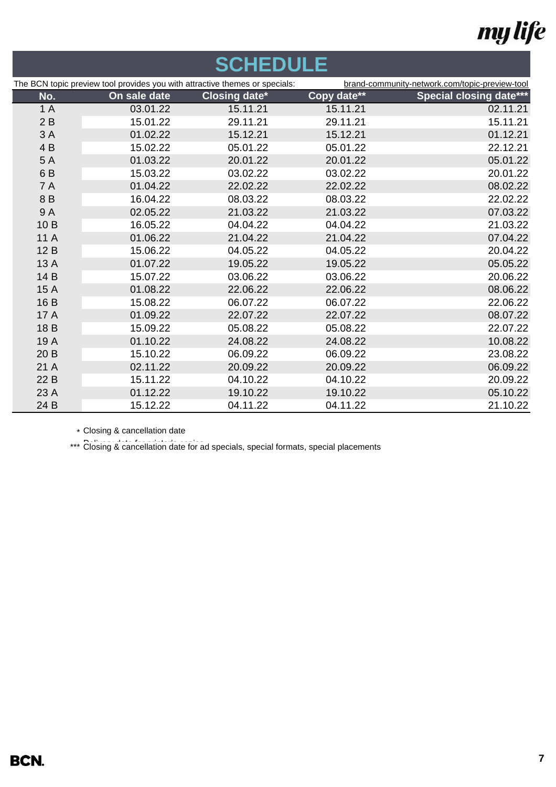# my life

| <b>SCHEDULE</b> |                                                                             |                      |             |                                                |
|-----------------|-----------------------------------------------------------------------------|----------------------|-------------|------------------------------------------------|
|                 | The BCN topic preview tool provides you with attractive themes or specials: |                      |             | brand-community-network.com/topic-preview-tool |
| No.             | On sale date                                                                | <b>Closing date*</b> | Copy date** | <b>Special closing date***</b>                 |
| 1A              | 03.01.22                                                                    | 15.11.21             | 15.11.21    | 02.11.21                                       |
| 2B              | 15.01.22                                                                    | 29.11.21             | 29.11.21    | 15.11.21                                       |
| 3A              | 01.02.22                                                                    | 15.12.21             | 15.12.21    | 01.12.21                                       |
| 4B              | 15.02.22                                                                    | 05.01.22             | 05.01.22    | 22.12.21                                       |
| 5A              | 01.03.22                                                                    | 20.01.22             | 20.01.22    | 05.01.22                                       |
| 6B              | 15.03.22                                                                    | 03.02.22             | 03.02.22    | 20.01.22                                       |
| <b>7A</b>       | 01.04.22                                                                    | 22.02.22             | 22.02.22    | 08.02.22                                       |
| 8B              | 16.04.22                                                                    | 08.03.22             | 08.03.22    | 22.02.22                                       |
| 9A              | 02.05.22                                                                    | 21.03.22             | 21.03.22    | 07.03.22                                       |
| 10B             | 16.05.22                                                                    | 04.04.22             | 04.04.22    | 21.03.22                                       |
| 11A             | 01.06.22                                                                    | 21.04.22             | 21.04.22    | 07.04.22                                       |
| 12B             | 15.06.22                                                                    | 04.05.22             | 04.05.22    | 20.04.22                                       |
| 13 A            | 01.07.22                                                                    | 19.05.22             | 19.05.22    | 05.05.22                                       |
| 14 B            | 15.07.22                                                                    | 03.06.22             | 03.06.22    | 20.06.22                                       |
| 15 A            | 01.08.22                                                                    | 22.06.22             | 22.06.22    | 08.06.22                                       |
| 16 B            | 15.08.22                                                                    | 06.07.22             | 06.07.22    | 22.06.22                                       |
| 17 A            | 01.09.22                                                                    | 22.07.22             | 22.07.22    | 08.07.22                                       |
| 18B             | 15.09.22                                                                    | 05.08.22             | 05.08.22    | 22.07.22                                       |
| 19 A            | 01.10.22                                                                    | 24.08.22             | 24.08.22    | 10.08.22                                       |
| 20 B            | 15.10.22                                                                    | 06.09.22             | 06.09.22    | 23.08.22                                       |
| 21 A            | 02.11.22                                                                    | 20.09.22             | 20.09.22    | 06.09.22                                       |
| 22 B            | 15.11.22                                                                    | 04.10.22             | 04.10.22    | 20.09.22                                       |
| 23A             | 01.12.22                                                                    | 19.10.22             | 19.10.22    | 05.10.22                                       |
| 24 B            | 15.12.22                                                                    | 04.11.22             | 04.11.22    | 21.10.22                                       |
|                 |                                                                             |                      |             |                                                |

\* Closing & cancellation date

\*\*\* Closing & cancellation date for ad specials, special formats, special placements